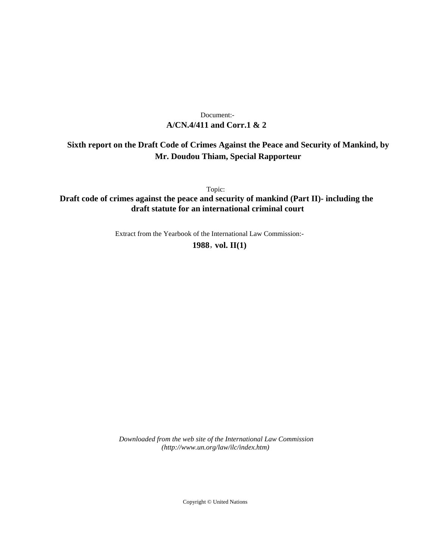# **A/CN.4/411 and Corr.1 & 2** Document:-

# **Sixth report on the Draft Code of Crimes Against the Peace and Security of Mankind, by Mr. Doudou Thiam, Special Rapporteur**

Topic:

**Draft code of crimes against the peace and security of mankind (Part II)- including the draft statute for an international criminal court**

Extract from the Yearbook of the International Law Commission:-

**1988** , **vol. II(1)**

*Downloaded from the web site of the International Law Commission (http://www.un.org/law/ilc/index.htm)*

Copyright © United Nations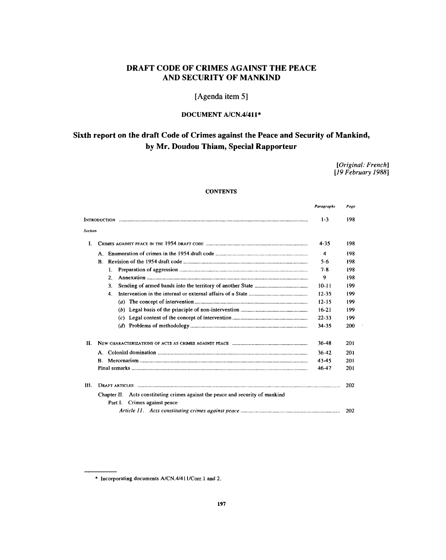# **DRAFT CODE OF CRIMES AGAINST THE PEACE AND SECURITY OF MANKIND**

**[Agenda item 5]**

# **DOCUMENT A/CN.4/411\***

# **Sixth report on the draft Code of Crimes against the Peace and Security of Mankind, by Mr. Doudou Thiam, Special Rapporteur**

*[Original: French] [19 February 1988]*

l,

# **CONTENTS**

|              |                                                                                | Paragraphs | Page |
|--------------|--------------------------------------------------------------------------------|------------|------|
|              |                                                                                | $1 - 3$    | 198  |
| Section      |                                                                                |            |      |
| $\mathbf{I}$ |                                                                                | $4 - 35$   | 198  |
|              |                                                                                | 4          | 198  |
|              | $\mathbf{B}_{\cdot}$                                                           | $5-6$      | 198  |
|              | 1.                                                                             | $7 - 8$    | 198  |
|              | 2 <sup>1</sup>                                                                 | 9          | 198  |
|              | 3.                                                                             | $10 - 11$  | 199  |
|              | 4.                                                                             | $12 - 35$  | 199  |
|              |                                                                                | $12 - 15$  | 199  |
|              |                                                                                | $16-21$    | 199  |
|              |                                                                                | $22 - 33$  | 199  |
|              |                                                                                | $34 - 35$  | 200  |
| Н.           |                                                                                | $36-48$    | 201  |
|              |                                                                                | $36 - 42$  | 201  |
|              | $\bf{R}$                                                                       | 43-45      | 201  |
|              |                                                                                | 46-47      | 201  |
| <b>III.</b>  |                                                                                |            | 202  |
|              | Chapter II. Acts constituting crimes against the peace and security of mankind |            |      |
|              | Part I. Crimes against peace                                                   |            |      |
|              |                                                                                |            | 202  |

<sup>\*</sup> Incorporating documents A/CN.4/411/Corr. 1 and 2.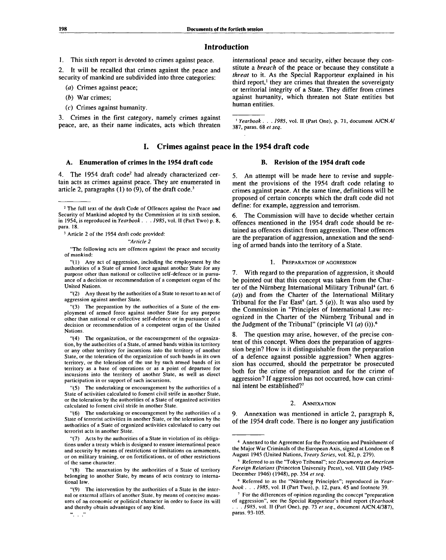# **Introduction**

1. This sixth report is devoted to crimes against peace.

2. It will be recalled that crimes against the peace and security of mankind are subdivided into three categories:

*(a)* Crimes against peace;

- *(b)* War crimes;
- (c) Crimes against humanity.

3. Crimes in the first category, namely crimes against peace, are, as their name indicates, acts which threaten

# **I. Crimes against peace in the 1954 draft code**

# **A. Enumeration of crimes in the 1954 draft code**

4. The 1954 draft code<sup>2</sup> had already characterized certain acts as crimes against peace. They are enumerated in article 2, paragraphs  $(1)$  to  $(9)$ , of the draft code.<sup>3</sup>

<sup>3</sup> Article 2 of the 1954 draft code provided:

*"Article 2*

"The following acts are offences against the peace and security of mankind:

"(1) Any act of aggression, including the employment by the authorities of a State of armed force against another State for any purpose other than national or collective self-defence or in pursuance of a decision or recommendation of a competent organ of the United Nations.

"(2) Any threat by the authorities of a State to resort to an act of aggression against another State.

"(3) The preparation by the authorities of a State of the employment of armed force against another State for any purpose other than national or collective self-defence or in pursuance of a decision or recommendation of a competent organ of the United Nations.

"(4) The organization, or the encouragement of the organization, by the authorities of a State, of armed bands within its territory or any other territory for incursions into the territory of another State, or the toleration of the organization of such bands in its own territory, or the toleration of the use by such armed bands of its territory as a base of operations or as a point of departure for incursions into the territory of another State, as well as direct participation in or support of such incursions.

"(5) The undertaking or encouragement by the authorities of a State of activities calculated to foment civil strife in another State, or the toleration by the authorities of a State of organized activities calculated to foment civil strife in another State.

"(6) The undertaking or encouragement by the authorities of a State of terrorist activities in another State, or the toleration by the authorities of a State of organized activities calculated to carry out terrorist acts in another State.

"(7) Acts by the authorities of a State in violation of its obligations under a treaty which is designed to ensure international peace and security by means of restrictions or limitations on armaments, or on military training, or on fortifications, or of other restrictions of the same character.

"(8) The annexation by the authorities of a State of territory belonging to another State, by means of acts contrary to international law.

 $\frac{1}{2}$  ,  $\frac{1}{2}$  ,  $\frac{1}{2}$ 

international peace and security, either because they constitute a *breach* of the peace or because they constitute a *threat* to it. As the Special Rapporteur explained in his third report,<sup>1</sup> they are crimes that threaten the sovereignty or territorial integrity of a State. They differ from crimes against humanity, which threaten not State entities but human entities.

<sup>1</sup> Yearbook . . . 1985, vol. II (Part One), p. 71, document A/CN.4/ 387, paras. 68 *et seq.*

# **B. Revision of the 1954 draft code**

5. An attempt will be made here to revise and supplement the provisions of the 1954 draft code relating to crimes against peace. At the same time, definitions will be proposed of certain concepts which the draft code did not define: for example, aggression and terrorism.

6. The Commission will have to decide whether certain offences mentioned in the 1954 draft code should be retained as offences distinct from aggression. These offences are the preparation of aggression, annexation and the sending of armed bands into the territory of a State.

#### 1. PREPARATION OF AGGRESSION

7. With regard to the preparation of aggression, it should be pointed out that this concept was taken from the Charter of the Nürnberg International Military Tribunal<sup>4</sup> (art. 6 *(a))* and from the Charter of the International Military Tribunal for the Far East<sup>5</sup> (art. 5  $(a)$ ). It was also used by the Commission in "Principles of International Law recognized in the Charter of the Niirnberg Tribunal and in the Judgment of the Tribunal" (principle VI *(a)* (i)).<sup>6</sup>

8. The question may arise, however, of the precise content of this concept. When does the preparation of aggression begin? How is it distinguishable from the preparation of a defence against possible aggression? When aggression has occurred, should the perpetrator be prosecuted both for the crime of preparation and for the crime of aggression? If aggression has not occurred, how can criminal intent be established?<sup>7</sup>

## 2. ANNEXATION

9. Annexation was mentioned in article 2, paragraph 8, of the 1954 draft code. There is no longer any justification

<sup>&</sup>lt;sup>2</sup> The full text of the draft Code of Offences against the Peace and Security of Mankind adopted by the Commission at its sixth session, in 1954, is reproduced in *Yearbook . . . 1985,* vol. II (Part Two) p. 8, para. 18.

<sup>&</sup>quot;(9) The intervention by the authorities of a Slate in the internal or external affairs of another State, by means of coercive measures of an economic or political character in order to force its will and thereby obtain advantages of any kind.

<sup>4</sup> Annexed to the Agreement for the Prosecution and Punishment of the Major War Criminals of the European Axis, signed at London on 8 August 1945 (United Nations, *Treaty Series,* vol. 82, p. 279).

<sup>5</sup> Referred to as the "Tokyo Tribunal"; see *Documents on American Foreign Relations* (Princeton University Press), vol. VIII (July 1945- December 1946) (1948), pp. 354 *et seq.*

<sup>6</sup> Referred to as the "Niirnberg Principles"; reproduced in *Yearbook . . . 1985,* vol. II (Part Two), p. 12, para. 45 and footnote 39.

<sup>&</sup>lt;sup>7</sup> For the differences of opinion regarding the concept "preparation of aggression", see the Special Rapporteur's third report *(Yearbook . . . 1985,* vol. II (Part One), pp. 73 *et seq.,* document A/CN.4/387), paras. 93-105.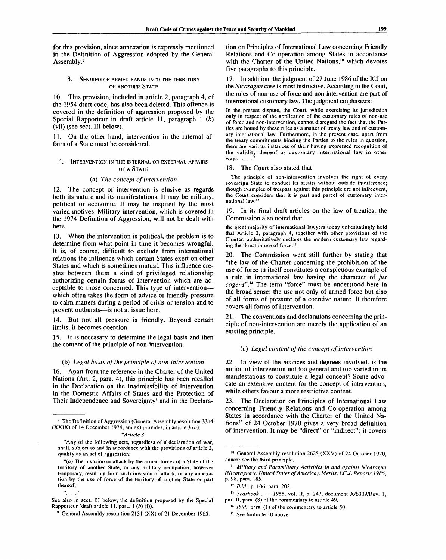for this provision, since annexation is expressly mentioned in the Definition of Aggression adopted by the General Assembly.<sup>8</sup>

# 3. SENDING OF ARMED BANDS INTO THE TERRITORY OF ANOTHER STATE

10. This provision, included in article 2, paragraph 4, of the 1954 draft code, has also been deleted. This offence is covered in the definition of aggression proposed by the Special Rapporteur in draft article 11, paragraph 1 *(b)* (vii) (see sect. Ill below).

11. On the other hand, intervention in the internal affairs of a State must be considered.

# 4. INTERVENTION IN THE INTERNAL OR EXTERNAL AFFAIRS OF A STATE

#### (a) *The concept of intervention*

12. The concept of intervention is elusive as regards both its nature and its manifestations. It may be military, political or economic. It may be inspired by the most varied motives. Military intervention, which is covered in the 1974 Definition of Aggression, will not be dealt with here.

13. When the intervention is political, the problem is to determine from what point in time it becomes wrongful. It is, of course, difficult to exclude from international relations the influence which certain States exert on other States and which is sometimes mutual. This influence creates between them a kind of privileged relationship authorizing certain forms of intervention which are acceptable to those concerned. This type of intervention which often takes the form of advice or friendly pressure to calm matters during a period of crisis or tension and to prevent outbursts—is not at issue here.

14. But not all pressure is friendly. Beyond certain limits, it becomes coercion.

15. It is necessary to determine the legal basis and then the content of the principle of non-intervention.

### (b) *Legal basis of the principle of non-intervention*

16. Apart from the reference in the Charter of the United Nations (Art. 2, para. 4), this principle has been recalled in the Declaration on the Inadmissibility of Intervention in the Domestic Affairs of States and the Protection of Their Independence and Sovereignty<sup>9</sup> and in the Declaration on Principles of International Law concerning Friendly Relations and Co-operation among States in accordance with the Charter of the United Nations,<sup>10</sup> which devotes five paragraphs to this principle.

17. In addition, the judgment of 27 June 1986 of the ICJ on the *Nicaragua* case is most instructive. According to the Court, the rules of non-use of force and non-intervention are part of international customary law. The judgment emphasizes:

In the present dispute, the Court, while exercising its jurisdiction only in respect of the application of the customary rules of non-use of force and non-intervention, cannot disregard the fact that the Parties are bound by these rules as a matter of treaty law and of customary international law. Furthermore, in the present case, apart from the treaty commitments binding the Parties to the rules in question, there are various instances of their having expressed recognition of the validity thereof as customary international law in other ways.  $\ldots$ <sup>11</sup>

#### 18. The Court also stated that

The principle of non-intervention involves the right of every sovereign State to conduct its affairs without outside interference; though examples of trespass against this principle are not infrequent, the Court considers that it is part and parcel of customary international law.<sup>12</sup>

19. In its final draft articles on the law of treaties, the Commission also noted that

the great majority of international lawyers today unhesitatingly hold that Article 2, paragraph 4, together with other provisions of the Charter, authoritatively declares the modern customary law regarding the threat or use of force.<sup>13</sup>

20. The Commission went still further by stating that "the law of the Charter concerning the prohibition of the use of force in itself constitutes a conspicuous example of a rule in international law having the character of *jus cogens".]4* The term "force" must be understood here in the broad sense: the use not only of armed force but also of all forms of pressure of a coercive nature. It therefore covers all forms of intervention.

21. The conventions and declarations concerning the principle of non-intervention are merely the application of an existing principle.

#### (c) *Legal content of the concept of intervention*

22. In view of the nuances and degrees involved, is the notion of intervention not too general and too varied in its manifestations to constitute a legal concept? Some advocate an extensive content for the concept of intervention, while others favour a more restrictive content.

23. The Declaration on Principles of International Law concerning Friendly Relations and Co-operation among States in accordance with the Charter of the United Nations<sup>15</sup> of 24 October 1970 gives a very broad definition of intervention. It may be "direct" or "indirect"; it covers

<sup>&</sup>lt;sup>8</sup> The Definition of Aggression (General Assembly resolution 3314 (XXIX) of 14 December 1974, annex) provides, in article 3 *(a):*

*<sup>&</sup>quot;Article 3*

<sup>&</sup>quot;Any of the following acts, regardless of a' declaration of war, shall, subject to and in accordance with the provisions of article 2, qualify as an act of aggression:

*<sup>&</sup>quot;(a)* The invasion or attack by the armed forces of a State of the territory of another State, or any military occupation, however temporary, resulting from such invasion or attack, or any annexation by the use of force of the territory of another State or part thereof;<br> $\frac{a}{2}$ 

See also in sect. **Ill** below, the definition proposed by the Special Rapporteur (draft article 11, para. 1 *(b)* (i)).

<sup>&</sup>lt;sup>9</sup> General Assembly resolution 2131 (XX) of 21 December 1965.

<sup>&</sup>lt;sup>10</sup> General Assembly resolution 2625 (XXV) of 24 October 1970, annex; see the third principle.

<sup>&</sup>quot; *Military and Paramilitary Activities in and against Nicaragua (Nicaragua* v. *United States of America), Merits, I.C.J. Reports 1986,* p. 98, para. 185.

<sup>12</sup>  *Ibid., p.* 106, para. 202.

<sup>&</sup>quot; *Yearbook . . . 1966,* vol. II, p. 247, document A/6309/Rev. 1, part II, para. (8) of the commentary to article 49.

<sup>14</sup>  *Ibid.,* para. (1) of the commentary to article 50.

<sup>&</sup>lt;sup>15</sup> See footnote 10 above.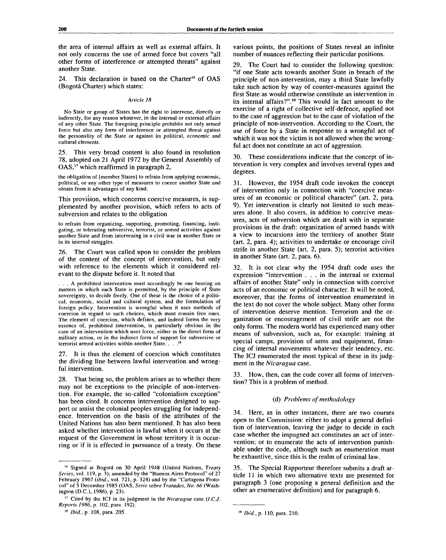the area of internal affairs as well as external affairs. It not only concerns the use of armed force but covers "all other forms of interference or attempted threats" against another State.

24. This declaration is based on the Charter<sup>16</sup> of OAS (Bogota Charter) which states:

#### *Article 18*

No State or group of States has the right to intervene, directly or indirectly, for any reason whatever, in the internal or external affairs of any other State. The foregoing principle prohibits not only armed force but also any form of interference or attempted threat against the personality of the State or against its political, economic and cultural elements.

25. This very broad content is also found in resolution 78, adopted on 21 April 1972 by the General Assembly of OAS,<sup>17</sup> which reaffirmed in paragraph 2,

the obligation of [member States] to refrain from applying economic, political, or any other type of measures to coerce another State and obtain from it advantages of any kind.

This provision, which concerns coercive measures, is supplemented by another provision, which refers to acts of subversion and relates to the obligation

to refrain from organizing, supporting, promoting, financing, instigating, or tolerating subversive, terrorist, or armed activities against another State and from intervening in a civil war in another State or in its internal struggles.

26. The Court was called upon to consider the problem of the content of the concept of intervention, but only with reference to the elements which it considered relevant to the dispute before it. It noted that

.. A prohibited intervention must accordingly be one bearing on matters in which each State is permitted, by the principle of State sovereignty, to decide freely. One of these is the choice of a political, economic, social and cultural system, and the formulation of foreign policy. Intervention is wrongful when it uses methods of coercion in regard to such choices, which must remain free ones. The element of coercion, which defines, and indeed forms the very essence of, prohibited intervention, is particularly obvious in the case of an intervention which uses force, either in the direct form of military action, or in the indirect form of support for subversive or terrorist armed activities within another State. . . .

27. It is thus the element of coercion which constitutes the dividing line between lawful intervention and wrongful intervention.

28. That being so, the problem arises as to whether there may not be exceptions to the principle of non-intervention. For example, the so-called "colonialism exception" has been cited. It concerns intervention designed to support or assist the colonial peoples struggling for independence. Intervention on the basis of the attributes of the United Nations has also been mentioned. It has also been asked whether intervention is lawful when it occurs at the request of the Government in whose territory it is occurring or if it is effected in pursuance of a treaty. On these

18  *Ibid.,* p. 108, para. 205.

various points, the positions of States reveal an infinite number of nuances reflecting their particular positions.

29. The Court had to consider the following question: "if one State acts towards another State in breach of the principle of non-intervention, may a third State lawfully take such action by way of counter-measures against the first State as would otherwise constitute an intervention in its internal affairs?".<sup>19</sup> This would in fact amount to the exercise of a right of collective self-defence, applied not to the case of aggression but to the case of violation of the principle of non-intervention. According to the Court, the use of force by a State in response to a wrongful act of which it was not the victim is not allowed when the wrongful act does not constitute an act of aggression.

These considerations indicate that the concept of intervention is very complex and involves several types and degrees.

31. However, the 1954 draft code invokes the concept of intervention only in connection with "coercive measures of an economic or political character" (art. 2, para. 9). Yet intervention is clearly not limited to such measures alone. It also covers, in addition to coercive measures, acts of subversion which are dealt with in separate provisions in the draft: organization of armed bands with a view to incursions into the territory of another State (art. 2, para. 4); activities to undertake or encourage civil strife in another State (art. 2, para. 5); terrorist activities in another State (art. 2, para. 6).

32. It is not clear why the 1954 draft code uses the expression "intervention .. . in the internal or external affairs of another State" only in connection with coercive acts of an economic or political character. It will be noted, moreover, that the forms of intervention enumerated in the text do not cover the whole subject. Many other forms of intervention deserve mention. Terrorism and the organization or encouragement of civil strife are not the only forms. The modern world has experienced many other means of subversion, such as, for example: training at special camps, provision of arms and equipment, financing of internal movements whatever their tendency, etc. The ICJ enumerated the most typical of these in its judgment in the *Nicaragua* case.

33. How, then, can the code cover all forms of intervention? This is a problem of method.

# (d) *Problems of methodology*

34. Here, as in other instances, there are two courses open to the Commission: either to adopt a general definition of intervention, leaving the judge to decide in each case whether the impugned act constitutes an act of intervention; or to enumerate the acts of intervention punishable under the code, although such an enumeration must be exhaustive, since this is the realm of criminal law.

35. The Special Rapporteur therefore submits a draft article 11 in which two alternative texts are presented for paragraph 3 (one proposing a general definition and the other an enumerative definition) and for paragraph 6.

<sup>&</sup>lt;sup>16</sup> Signed at Bogotá on 30 April 1948 (United Nations, Treaty *Scries,* vol. 119, p. 3); amended by the "Buenos Aires Protocol"' of 27 February 1967 *(ibid.,* vol. 721, p. 324) and by the "Cartagena Protocol" of 5 December 1985 (OAS, *Serie sobre Tratados, No. 66* (Washington (D.C.), 1986), p. 23).

<sup>17</sup> Cited by the ICJ in its judgment in the *Nicaragua* case *(I.C.J. Reports 1986,* p. 102, para. 192).

*Ibid., p.* 110, para. 210.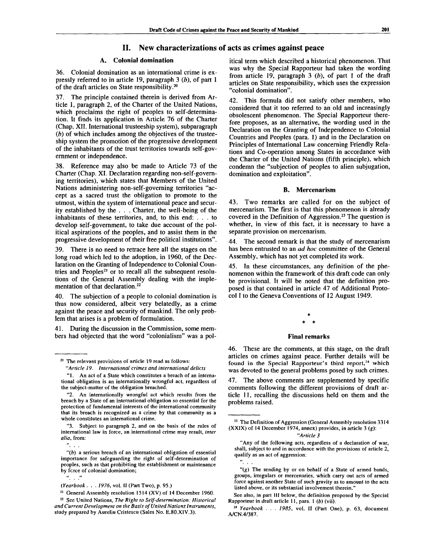# **II. New characterizations of acts as crimes against peace**

# **A. Colonial domination**

36. Colonial domination as an international crime is expressly referred to in article 19, paragraph 3 *(b),* of part 1 of the draft articles on State responsibility.<sup>20</sup>

The principle contained therein is derived from Article 1, paragraph 2, of the Charter of the United Nations, which proclaims the right of peoples to self-determination. It finds its application in Article 76 of the Charter (Chap. XII. International trusteeship system), subparagraph *(b)* of which includes among the objectives of the trusteeship system the promotion of the progressive development of the inhabitants of the trust territories towards self-government or independence.

38. Reference may also be made to Article 73 of the Charter (Chap. XI. Declaration regarding non-self-governing territories), which states that Members of the United Nations administering non-self-governing territories "accept as a sacred trust the obligation to promote to the utmost, within the system of international peace and security established by the . . . Charter, the well-being of the inhabitants of these territories, and, to this end: .. . to develop self-government, to take due account of the political aspirations of the peoples, and to assist them in the progressive development of their free political institutions".

39. There is no need to retrace here all the stages on the long road which led to the adoption, in 1960, of the Declaration on the Granting of Independence to Colonial Countries and Peoples<sup>21</sup> or to recall all the subsequent resolutions of the General Assembly dealing with the implementation of that declaration.<sup>22</sup>

40. The subjection of a people to colonial domination is thus now considered, albeit very belatedly, as a crime against the peace and security of mankind. The only problem that arises is a problem of formulation.

During the discussion in the Commission, some members had objected that the word "colonialism" was a pol-

*"Article 19. International crimes and international delicts* "1. An act of a State which constitutes a breach of an interna-

tional obligation is an internationally wrongful act, regardless of the subject-matter of the obligation breached.

"3. Subject to paragraph 2, and on the basis of the rules of international law in force, an international crime may result, *inter alia,* from:

 $\frac{a}{2}$ .

itical term which described a historical phenomenon. That was why the Special Rapporteur had taken the wording from article 19, paragraph 3 *(b),* of part 1 of the draft articles on State responsibility, which uses the expression "colonial domination".

42. This formula did not satisfy other members, who considered that it too referred to an old and increasingly obsolescent phenomenon. The Special Rapporteur therefore proposes, as an alternative, the wording used in the Declaration on the Granting of Independence to Colonial Countries and Peoples (para. 1) and in the Declaration on Principles of International Law concerning Friendly Relations and Co-operation among States in accordance with the Charter of the United Nations (fifth principle), which condemn the "subjection of peoples to alien subjugation, domination and exploitation".

## **B. Mercenarism**

43. Two remarks are called for on the subject of mercenarism. The first is that this phenomenon is already covered in the Definition of Aggression.<sup>23</sup> The question is whether, in view of this fact, it is necessary to have a separate provision on mercenarism.

44. The second remark is that the study of mercenarism has been entrusted to an *ad hoc* committee of the General Assembly, which has not yet completed its work.

45. In these circumstances, any definition of the phenomenon within the framework of this draft code can only be provisional. It will be noted that the definition proposed is that contained in article 47 of Additional Protocol I to the Geneva Conventions of 12 August 1949.

# **Final remarks**

46. These are the comments, at this stage, on the draft articles on crimes against peace. Further details will be found in the Special Rapporteur's third report,<sup>24</sup> which was devoted to the general problems posed by such crimes.

47. The above comments are supplemented by specific comments following the different provisions of draft article 11, recalling the discussions held on them and the problems raised.

#### *"Article 3*

"Any of the following acts, regardless of a declaration of war, shall, subject to and in accordance with the provisions of article 2, qualify as an act of aggression:<br>"

*"(g)* The sending by or on behalf of a State of armed bands, groups, irregulars or mercenaries, which carry out acts of armed force against another State of such gravity as to amount to the acts listed above, or its substantial involvement therein."

See also, in part III below, the definition proposed by the Special Rapporteur in draft article 11, para. 1 *(b)* (vii).

<sup>&</sup>lt;sup>20</sup> The relevant provisions of article 19 read as follows:

<sup>&</sup>quot;2. An internationally wrongful act which results from the breach by a State of an international obligation so essential for the protection of fundamental interests of the international community that its breach is recognized as a crime by that community as a whole constitutes an international crime.

*<sup>&</sup>quot;(b)* a serious breach of an international obligation of essential importance for safeguarding the right of self-determination of peoples, such as that prohibiting the establishment or maintenance by fcrce of colonial domination;

 $\frac{1}{2}$   $\frac{1}{2}$ 

*<sup>(</sup>Yearbook . . . 1976,* vol. II (Part Two), p. 95.)

<sup>&</sup>lt;sup>21</sup> General Assembly resolution 1514 (XV) of 14 December 1960.

<sup>22</sup> See United Nations, *The Right to Self-determination: Historical and Current Development on the Basis of United Nations Instruments,* study prepared by Aureliu Cristescu (Sales No. E.80.XIV.3).

<sup>&</sup>lt;sup>23</sup> The Definition of Aggression (General Assembly resolution 3314 (XXIX) of 14 December 1974, annex) provides, in article 3 *(g):*

<sup>&</sup>lt;sup>24</sup> Yearbook . . . 1985, vol. II (Part One), p. 63, document A/CN.4/387.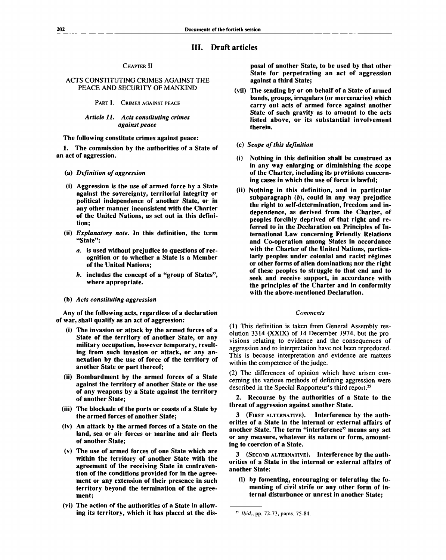# **III. Draft articles**

#### **CHAPTER II**

# **ACTS CONSTITUTING CRIMES AGAINST THE PEACE AND SECURITY OF MANKIND**

**PART I. CRIMES AGAINST PEACE**

## *Article 11. Acts constituting crimes against peace*

**The following constitute crimes against peace:**

**1. The commission by the authorities of a State of an act of aggression.**

- **(a)** *Definition of aggression*
- **(i) Aggression is the use of armed force by a State against the sovereignty, territorial integrity or political independence of another State, or in any other manner inconsistent with the Charter of the United Nations, as set out in this definition;**
- **(ii)** *Explanatory note.* **In this definition, the term "State":**
	- *a.* **is used without prejudice to questions of recognition or to whether a State is a Member of the United Nations;**
	- *b.* **includes the concept of a "group of States", where appropriate.**

# **(b)** *Acts constituting aggression*

**Any of the following acts, regardless of a declaration of war, shall qualify as an act of aggression:**

- **(i) The invasion or attack by the armed forces of a State of the territory of another State, or any military occupation, however temporary, resulting from such invasion or attack, or any annexation by the use of force of the territory of another State or part thereof;**
- **(ii) Bombardment by the armed forces of a State against the territory of another State or the use of any weapons by a State against the territory of another State;**
- **(iii) The blockade of the ports or coasts of a State by the armed forces of another State;**
- **(iv) An attack by the armed forces of a State on the land, sea or air forces or marine and air fleets of another State;**
- **(v) The use of armed forces of one State which are within the territory of another State with the agreement of the receiving State in contravention of the conditions provided for in the agreement or any extension of their presence in such territory beyond the termination of the agreement;**
- **(vi) The action of the authorities of a State in allowing its territory, which it has placed at the dis-**

**posal of another State, to be used by that other State for perpetrating an act of aggression against a third State;**

- **(vii) The sending by or on behalf of a State of armed bands, groups, irregulars (or mercenaries) which carry out acts of armed force against another State of such gravity as to amount to the acts listed above, or its substantial involvement therein.**
- **(c)** *Scope of this definition*
- **(i) Nothing in this definition shall be construed as in any way enlarging or diminishing the scope of the Charter, including its provisions concerning cases in which the use of force is lawful;**
- **(ii) Nothing in this definition, and in particular subparagraph** *(b),* **could in any way prejudice the right to self-determination, freedom and independence, as derived from the Charter, of peoples forcibly deprived of that right and referred to in the Declaration on Principles of International Law concerning Friendly Relations and Co-operation among States in accordance with the Charter of the United Nations, particularly peoples under colonial and racist regimes or other forms of alien domination; nor the right of these peoples to struggle to that end and to seek and receive support, in accordance with the principles of the Charter and in conformity with the above-mentioned Declaration.**

#### *Comments*

**(1) This definition is taken from General Assembly resolution 3314 (XXIX) of 14 December 1974, but the provisions relating to evidence and the consequences of aggression and to interpretation have not been reproduced. This is because interpretation and evidence are matters within the competence of the judge.**

**(2) The differences of opinion which have arisen concerning the various methods of defining aggression were described in the Special Rapporteur's third report.<sup>25</sup>**

**2. Recourse by the authorities of a State to the threat of aggression against another State.**

**3 (FIRST ALTERNATIVE). Interference by the authorities of a State in the internal or external affairs of another State. The term "interference" means any act or any measure, whatever its nature or form, amounting to coercion of a State.**

**3 (SECOND ALTERNATIVE). Interference by the authorities of a State in the internal or external affairs of another State:**

**(i) by fomenting, encouraging or tolerating the fomenting of civil strife or any other form of internal disturbance or unrest in another State;**

**<sup>25</sup>**  *Ibid.,* **pp. 72-73, paras. 75-84.**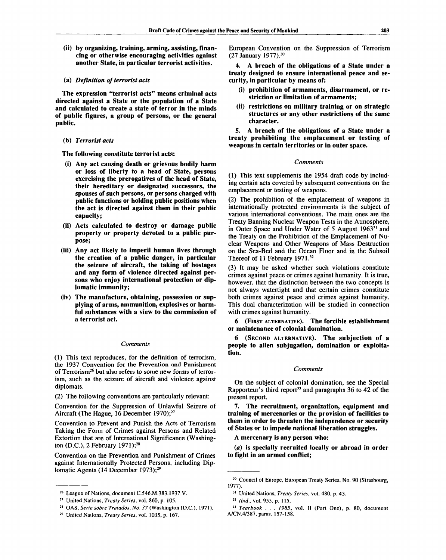**(ii) by organizing, training, arming, assisting, financing or otherwise encouraging activities against another State, in particular terrorist activities.**

# **(a)** *Definition of terrorist acts*

**The expression "terrorist acts" means criminal acts directed against a State or the population of a State and calculated to create a state of terror in the minds of public figures, a group of persons, or the general public.**

## **(b)** *Terrorist acts*

**The following constitute terrorist acts:**

- **(i) Any act causing death or grievous bodily harm or loss of liberty to a head of State, persons exercising the prerogatives of the head of State, their hereditary or designated successors, the spouses of such persons, or persons charged with public functions or holding public positions when the act is directed against them in their public capacity;**
- **(ii) Acts calculated to destroy or damage public property or property devoted to a public purpose;**
- **(iii) Any act likely to imperil human lives through the creation of a public danger, in particular the seizure of aircraft, the taking of hostages and any form of violence directed against persons who enjoy international protection or diplomatic immunity;**
- **(iv) The manufacture, obtaining, possession or supplying of arms, ammunition, explosives or harmful substances with a view to the commission of a terrorist act.**

### *Comments*

(1) This text reproduces, for the definition of terrorism, the 1937 Convention for the Prevention and Punishment of Terrorism<sup>26</sup> but also refers to some new forms of terrorism, such as the seizure of aircraft and violence against diplomats.

(2) The following conventions are particularly relevant:

Convention for the Suppression of Unlawful Seizure of Aircraft (The Hague, 16 December 1970);<sup>27</sup>

Convention to Prevent and Punish the Acts of Terrorism Taking the Form of Crimes against Persons and Related Extortion that are of International Significance (Washington (D.C.), 2 February 1971);<sup>28</sup>

Convention on the Prevention and Punishment of Crimes against Internationally Protected Persons, including Diplomatic Agents (14 December 1973);<sup>29</sup>

European Convention on the Suppression of Terrorism (27 January 1977).<sup>30</sup>

**4. A breach of the obligations of a State under a treaty designed to ensure international peace and security, in particular by means of:**

- **(i) prohibition of armaments, disarmament, or restriction or limitation of armaments;**
- **(ii) restrictions on military training or on strategic structures or any other restrictions of the same character.**

**5. A breach of the obligations of a State under a treaty prohibiting the emplacement or testing of weapons in certain territories or in outer space.**

#### *Comments*

(1) This text supplements the 1954 draft code by including certain acts covered by subsequent conventions on the emplacement or testing of weapons.

(2) The prohibition of the emplacement of weapons in internationally protected environments is the subject of various international conventions. The main ones are the Treaty Banning Nuclear Weapon Tests in the Atmosphere, in Outer Space and Under Water of 5 August 1963<sup>31</sup> and the Treaty on the Prohibition of the Emplacement of Nuclear Weapons and Other Weapons of Mass Destruction on the Sea-Bed and the Ocean Floor and in the Subsoil Thereof of 11 February 1971.<sup>32</sup>

(3) It may be asked whether such violations constitute crimes against peace or crimes against humanity. It is true, however, that the distinction between the two concepts is not always watertight and that certain crimes constitute both crimes against peace and crimes against humanity. This dual characterization will be studied in connection with crimes against humanity.

**6** (FIRST ALTERNATIVE). **The forcible establishment or maintenance of colonial domination.**

**6** (SECOND ALTERNATIVE). **The subjection of a people to alien subjugation, domination or exploitation.**

#### *Comments*

On the subject of colonial domination, see the Special Rapporteur's third report<sup>33</sup> and paragraphs  $36$  to  $42$  of the present report.

**7. The recruitment, organization, equipment and training of mercenaries or the provision of facilities to them in order to threaten the independence or security of States or to impede national liberation struggles.**

**A mercenary is any person who:**

**(a) is specially recruited locally or abroad in order to fight in an armed conflict;**

<sup>26</sup> League of Nations, document C.546.M.383.1937.V.

<sup>27</sup> United Nations, *Treaty Series,* vol. 860, p. 105.

<sup>28</sup> OAS, *Serie sobre Tratados, No. 37* (Washington (D.C.), 1971).

<sup>29</sup> United Nations, *Treaty Series,* vol. 1035, p. 167.

<sup>30</sup> Council of Europe, European Treaty Series, No. 90 (Strasbourg, 1977).

<sup>31</sup> United Nations, *Treaty Series,* vol. 480, p. 43.

<sup>32</sup>  *Ibid.,* vol. 955, p. 115.

<sup>33</sup>  *Yearbook . . . 1985,* vol. II (Part One), p. 80, document A/CN.4/387, paras. 157-158.